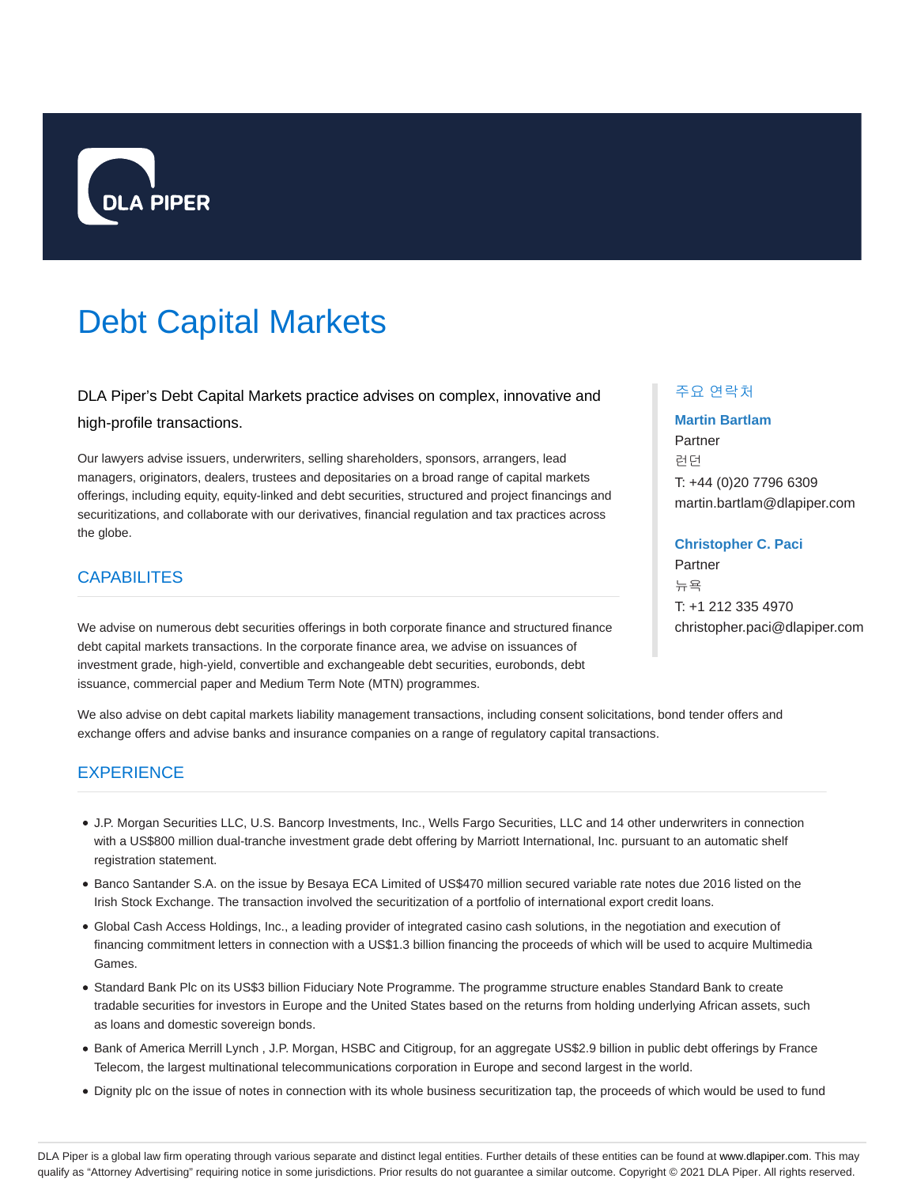

# Debt Capital Markets

DLA Piper's Debt Capital Markets practice advises on complex, innovative and high-profile transactions.

Our lawyers advise issuers, underwriters, selling shareholders, sponsors, arrangers, lead managers, originators, dealers, trustees and depositaries on a broad range of capital markets offerings, including equity, equity-linked and debt securities, structured and project financings and securitizations, and collaborate with our derivatives, financial regulation and tax practices across the globe.

## **CAPABILITES**

We advise on numerous debt securities offerings in both corporate finance and structured finance debt capital markets transactions. In the corporate finance area, we advise on issuances of investment grade, high-yield, convertible and exchangeable debt securities, eurobonds, debt issuance, commercial paper and Medium Term Note (MTN) programmes.

## 주요 연락처

## **Martin Bartlam** Partner 런던 T: +44 (0)20 7796 6309 martin.bartlam@dlapiper.com

#### **Christopher C. Paci**

Partner 뉴욕 T: +1 212 335 4970 christopher.paci@dlapiper.com

We also advise on debt capital markets liability management transactions, including consent solicitations, bond tender offers and exchange offers and advise banks and insurance companies on a range of regulatory capital transactions.

## **EXPERIENCE**

- J.P. Morgan Securities LLC, U.S. Bancorp Investments, Inc., Wells Fargo Securities, LLC and 14 other underwriters in connection with a US\$800 million dual-tranche investment grade debt offering by Marriott International, Inc. pursuant to an automatic shelf registration statement.
- Banco Santander S.A. on the issue by Besaya ECA Limited of US\$470 million secured variable rate notes due 2016 listed on the Irish Stock Exchange. The transaction involved the securitization of a portfolio of international export credit loans.
- Global Cash Access Holdings, Inc., a leading provider of integrated casino cash solutions, in the negotiation and execution of financing commitment letters in connection with a US\$1.3 billion financing the proceeds of which will be used to acquire Multimedia Games.
- Standard Bank Plc on its US\$3 billion Fiduciary Note Programme. The programme structure enables Standard Bank to create tradable securities for investors in Europe and the United States based on the returns from holding underlying African assets, such as loans and domestic sovereign bonds.
- Bank of America Merrill Lynch, J.P. Morgan, HSBC and Citigroup, for an aggregate US\$2.9 billion in public debt offerings by France Telecom, the largest multinational telecommunications corporation in Europe and second largest in the world.
- Dignity plc on the issue of notes in connection with its whole business securitization tap, the proceeds of which would be used to fund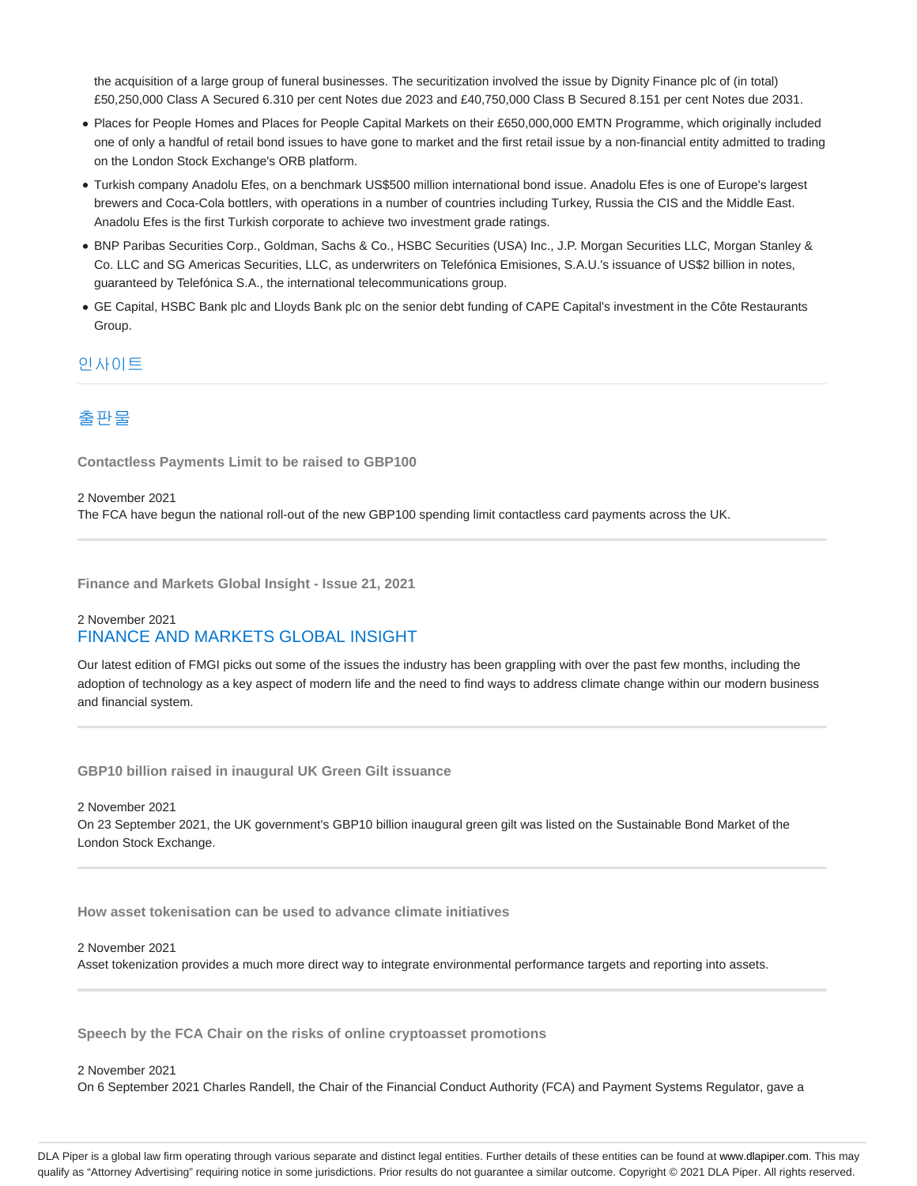the acquisition of a large group of funeral businesses. The securitization involved the issue by Dignity Finance plc of (in total) £50,250,000 Class A Secured 6.310 per cent Notes due 2023 and £40,750,000 Class B Secured 8.151 per cent Notes due 2031.

- Places for People Homes and Places for People Capital Markets on their £650,000,000 EMTN Programme, which originally included one of only a handful of retail bond issues to have gone to market and the first retail issue by a non-financial entity admitted to trading on the London Stock Exchange's ORB platform.
- Turkish company Anadolu Efes, on a benchmark US\$500 million international bond issue. Anadolu Efes is one of Europe's largest brewers and Coca-Cola bottlers, with operations in a number of countries including Turkey, Russia the CIS and the Middle East. Anadolu Efes is the first Turkish corporate to achieve two investment grade ratings.
- BNP Paribas Securities Corp., Goldman, Sachs & Co., HSBC Securities (USA) Inc., J.P. Morgan Securities LLC, Morgan Stanley & Co. LLC and SG Americas Securities, LLC, as underwriters on Telefónica Emisiones, S.A.U.'s issuance of US\$2 billion in notes, guaranteed by Telefónica S.A., the international telecommunications group.
- GE Capital, HSBC Bank plc and Lloyds Bank plc on the senior debt funding of CAPE Capital's investment in the Côte Restaurants Group.

### 인사이트

## 출판물

**Contactless Payments Limit to be raised to GBP100**

2 November 2021 The FCA have begun the national roll-out of the new GBP100 spending limit contactless card payments across the UK.

**Finance and Markets Global Insight - Issue 21, 2021**

## 2 November 2021 FINANCE AND MARKETS GLOBAL INSIGHT

Our latest edition of FMGI picks out some of the issues the industry has been grappling with over the past few months, including the adoption of technology as a key aspect of modern life and the need to find ways to address climate change within our modern business and financial system.

**GBP10 billion raised in inaugural UK Green Gilt issuance**

#### 2 November 2021

On 23 September 2021, the UK government's GBP10 billion inaugural green gilt was listed on the Sustainable Bond Market of the London Stock Exchange.

**How asset tokenisation can be used to advance climate initiatives**

#### 2 November 2021

Asset tokenization provides a much more direct way to integrate environmental performance targets and reporting into assets.

**Speech by the FCA Chair on the risks of online cryptoasset promotions**

#### 2 November 2021

On 6 September 2021 Charles Randell, the Chair of the Financial Conduct Authority (FCA) and Payment Systems Regulator, gave a

DLA Piper is a global law firm operating through various separate and distinct legal entities. Further details of these entities can be found at www.dlapiper.com. This may qualify as "Attorney Advertising" requiring notice in some jurisdictions. Prior results do not guarantee a similar outcome. Copyright @ 2021 DLA Piper. All rights reserved.